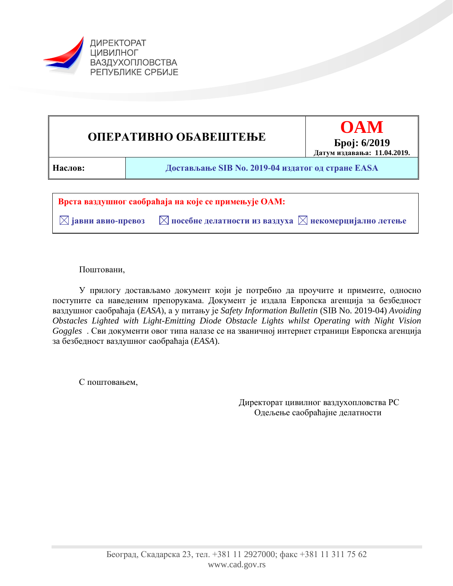



 $\boxtimes$  јавни авио-превоз  $\blacksquare$  посебне делатности из ваздуха  $\boxtimes$  некомерцијално летење

Поштовани,

У прилогу достављамо документ који је потребно да проучите и примеите, односно поступите са наведеним препорукама. Документ је издала Европска агенција за безбедност ваздушног саобраћаја (*EASA*), а у питању је *Safety Information Bulletin* (SIB No. 2019-04) *Avoiding Obstacles Lighted with Light-Emitting Diode Obstacle Lights whilst Operating with Night Vision Goggles* . Сви документи овог типа налазе се на званичној интернет страници Европска агенција за безбедност ваздушног саобраћаја (*EASA*).

С поштовањем,

Директорат цивилног ваздухопловства РС Одељење саобраћајне делатности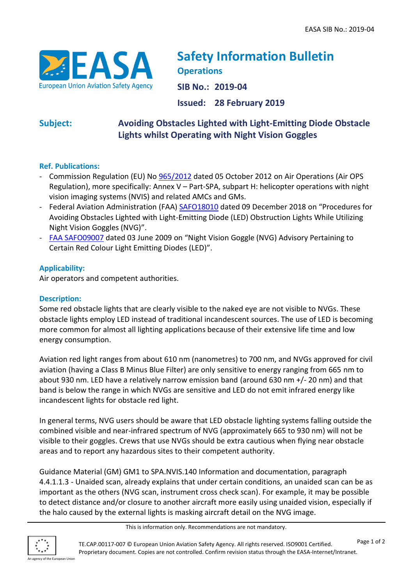

# **Safety Information Bulletin Operations**

**SIB No.: 2019-04**

**Issued: 28 February 2019**

# **Subject: Avoiding Obstacles Lighted with Light-Emitting Diode Obstacle Lights whilst Operating with Night Vision Goggles**

# **Ref. Publications:**

- Commission Regulation (EU) No [965/2012](https://eur-lex.europa.eu/legal-content/EN/TXT/?qid=1499960916767&uri=CELEX:02012R0965-20170322) dated 05 October 2012 on Air Operations (Air OPS Regulation), more specifically: Annex V – Part-SPA, subpart H: helicopter operations with night vision imaging systems (NVIS) and related AMCs and GMs.
- Federal Aviation Administration (FAA) [SAFO18010](https://www.faa.gov/other_visit/aviation_industry/airline_operators/airline_safety/safo/all_safos/media/2018/SAFO18010.pdf) dated 09 December 2018 on "Procedures for Avoiding Obstacles Lighted with Light-Emitting Diode (LED) Obstruction Lights While Utilizing Night Vision Goggles (NVG)".
- [FAA SAFO09007](https://www.faa.gov/other_visit/aviation_industry/airline_operators/airline_safety/safo/all_safos/media/2009/SAFO09007.pdf) dated 03 June 2009 on "Night Vision Goggle (NVG) Advisory Pertaining to Certain Red Colour Light Emitting Diodes (LED)".

# **Applicability:**

Air operators and competent authorities.

### **Description:**

Some red obstacle lights that are clearly visible to the naked eye are not visible to NVGs. These obstacle lights employ LED instead of traditional incandescent sources. The use of LED is becoming more common for almost all lighting applications because of their extensive life time and low energy consumption.

Aviation red light ranges from about 610 nm (nanometres) to 700 nm, and NVGs approved for civil aviation (having a Class B Minus Blue Filter) are only sensitive to energy ranging from 665 nm to about 930 nm. LED have a relatively narrow emission band (around 630 nm +/- 20 nm) and that band is below the range in which NVGs are sensitive and LED do not emit infrared energy like incandescent lights for obstacle red light.

In general terms, NVG users should be aware that LED obstacle lighting systems falling outside the combined visible and near-infrared spectrum of NVG (approximately 665 to 930 nm) will not be visible to their goggles. Crews that use NVGs should be extra cautious when flying near obstacle areas and to report any hazardous sites to their competent authority.

Guidance Material (GM) GM1 to SPA.NVIS.140 Information and documentation, paragraph 4.4.1.1.3 - Unaided scan, already explains that under certain conditions, an unaided scan can be as important as the others (NVG scan, instrument cross check scan). For example, it may be possible to detect distance and/or closure to another aircraft more easily using unaided vision, especially if the halo caused by the external lights is masking aircraft detail on the NVG image.